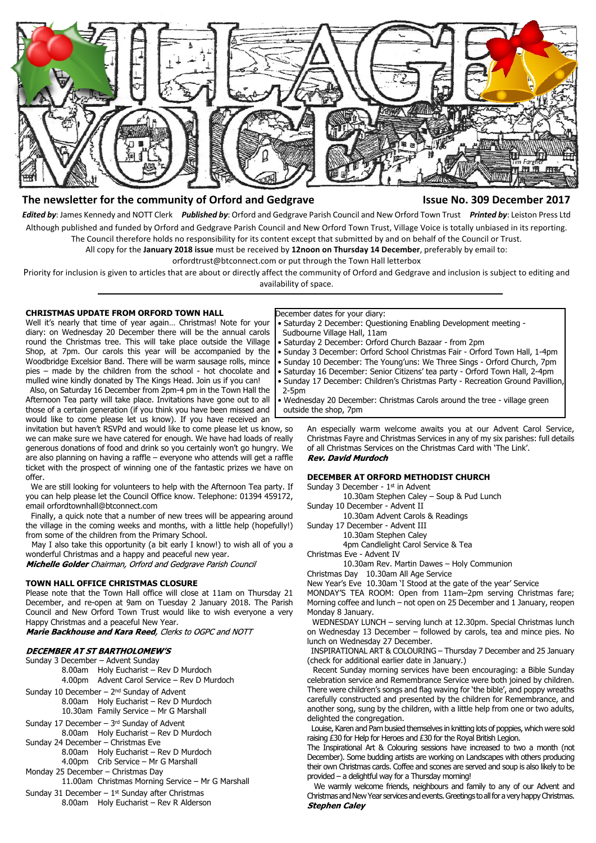

## **The newsletter for the community of Orford and Gedgrave Issue No. 309 December 2017**

*Edited by*: James Kennedy and NOTT Clerk *Published by*: Orford and Gedgrave Parish Council and New Orford Town Trust *Printed by*: Leiston Press Ltd Although published and funded by Orford and Gedgrave Parish Council and New Orford Town Trust, Village Voice is totally unbiased in its reporting. The Council therefore holds no responsibility for its content except that submitted by and on behalf of the Council or Trust.

All copy for the **January 2018 issue** must be received by **12noon on Thursday 14 December**, preferably by email to:

orfordtrust@btconnect.com or put through the Town Hall letterbox

Priority for inclusion is given to articles that are about or directly affect the community of Orford and Gedgrave and inclusion is subject to editing and availability of space.

#### **CHRISTMAS UPDATE FROM ORFORD TOWN HALL**

Well it's nearly that time of year again… Christmas! Note for your diary: on Wednesday 20 December there will be the annual carols round the Christmas tree. This will take place outside the Village Shop, at 7pm. Our carols this year will be accompanied by the Woodbridge Excelsior Band. There will be warm sausage rolls, mince pies – made by the children from the school - hot chocolate and mulled wine kindly donated by The Kings Head. Join us if you can!

 Also, on Saturday 16 December from 2pm-4 pm in the Town Hall the Afternoon Tea party will take place. Invitations have gone out to all those of a certain generation (if you think you have been missed and would like to come please let us know). If you have received an

invitation but haven't RSVPd and would like to come please let us know, so we can make sure we have catered for enough. We have had loads of really generous donations of food and drink so you certainly won't go hungry. We are also planning on having a raffle – everyone who attends will get a raffle ticket with the prospect of winning one of the fantastic prizes we have on offer.

 We are still looking for volunteers to help with the Afternoon Tea party. If you can help please let the Council Office know. Telephone: 01394 459172, email orfordtownhall@btconnect.com

 Finally, a quick note that a number of new trees will be appearing around the village in the coming weeks and months, with a little help (hopefully!) from some of the children from the Primary School.

 May I also take this opportunity (a bit early I know!) to wish all of you a wonderful Christmas and a happy and peaceful new year.

Michelle Golder Chairman, Orford and Gedgrave Parish Council

#### **TOWN HALL OFFICE CHRISTMAS CLOSURE**

Please note that the Town Hall office will close at 11am on Thursday 21 December, and re-open at 9am on Tuesday 2 January 2018. The Parish Council and New Orford Town Trust would like to wish everyone a very Happy Christmas and a peaceful New Year.

Marie Backhouse and Kara Reed, Clerks to OGPC and NOTT

#### **DECEMBER AT ST BARTHOLOMEW'S**

- Sunday 3 December Advent Sunday
	- 8.00am Holy Eucharist Rev D Murdoch
	- 4.00pm Advent Carol Service Rev D Murdoch
- Sunday 10 December 2<sup>nd</sup> Sunday of Advent
	- 8.00am Holy Eucharist Rev D Murdoch 10.30am Family Service – Mr G Marshall
- Sunday 17 December 3rd Sunday of Advent
- 8.00am Holy Eucharist Rev D Murdoch Sunday 24 December – Christmas Eve
	- - 8.00am Holy Eucharist Rev D Murdoch 4.00pm Crib Service – Mr G Marshall
		-
- Monday 25 December Christmas Day 11.00am Christmas Morning Service – Mr G Marshall
- Sunday 31 December  $-1$ <sup>st</sup> Sunday after Christmas
	- 8.00am Holy Eucharist Rev R Alderson

December dates for your diary:

- Saturday 2 December: Questioning Enabling Development meeting Sudbourne Village Hall, 11am
- Saturday 2 December: Orford Church Bazaar from 2pm
- Sunday 3 December: Orford School Christmas Fair Orford Town Hall, 1-4pm
- Sunday 10 December: The Young'uns: We Three Sings Orford Church, 7pm
- Saturday 16 December: Senior Citizens' tea party Orford Town Hall, 2-4pm
- Sunday 17 December: Children's Christmas Party Recreation Ground Pavillion, 2-5pm

 • Wednesday 20 December: Christmas Carols around the tree - village green outside the shop, 7pm

An especially warm welcome awaits you at our Advent Carol Service, Christmas Fayre and Christmas Services in any of my six parishes: full details of all Christmas Services on the Christmas Card with 'The Link'.<br>Rev. David Murdoch

#### **DECEMBER AT ORFORD METHODIST CHURCH**

Sunday 3 December - 1<sup>st</sup> in Advent

10.30am Stephen Caley – Soup & Pud Lunch

Sunday 10 December - Advent II

10.30am Advent Carols & Readings

Sunday 17 December - Advent III

10.30am Stephen Caley

4pm Candlelight Carol Service & Tea

- Christmas Eve Advent IV
- 10.30am Rev. Martin Dawes Holy Communion

Christmas Day 10.30am All Age Service

New Year's Eve 10.30am 'I Stood at the gate of the year' Service

MONDAY'S TEA ROOM: Open from 11am–2pm serving Christmas fare; Morning coffee and lunch – not open on 25 December and 1 January, reopen Monday 8 January.

 WEDNESDAY LUNCH – serving lunch at 12.30pm. Special Christmas lunch on Wednesday 13 December – followed by carols, tea and mince pies. No lunch on Wednesday 27 December.

 INSPIRATIONAL ART & COLOURING – Thursday 7 December and 25 January (check for additional earlier date in January.)

 Recent Sunday morning services have been encouraging: a Bible Sunday celebration service and Remembrance Service were both joined by children. There were children's songs and flag waving for 'the bible', and poppy wreaths carefully constructed and presented by the children for Remembrance, and another song, sung by the children, with a little help from one or two adults, delighted the congregation.

 Louise, Karen and Pam busied themselves in knitting lots of poppies, which were sold raising £30 for Help for Heroes and £30 for the Royal British Legion.

The Inspirational Art & Colouring sessions have increased to two a month (not December). Some budding artists are working on Landscapes with others producing their own Christmas cards. Coffee and scones are served and soup is also likely to be provided – a delightful way for a Thursday morning!

 We warmly welcome friends, neighbours and family to any of our Advent and Christmas and New Year services and events. Greetings to all for a very happy Christmas. **Stephen Caley**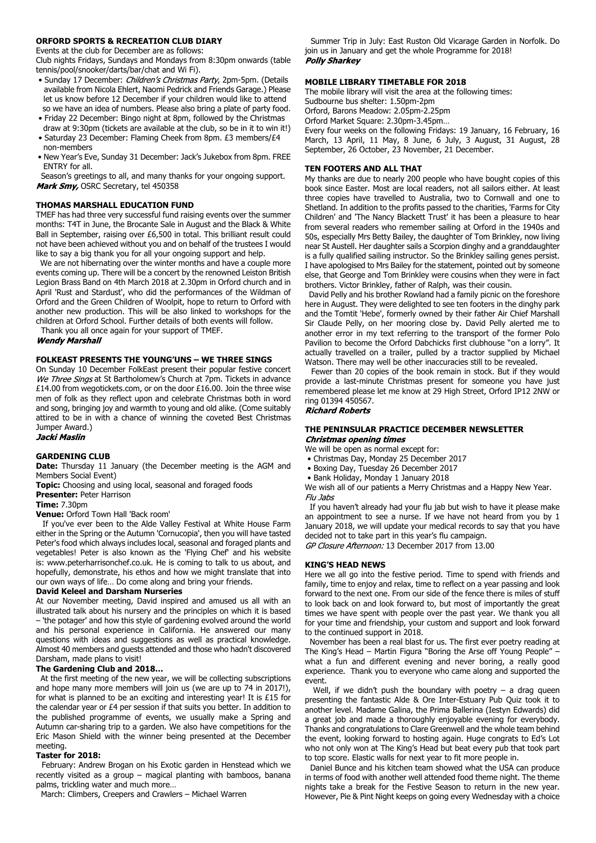#### **ORFORD SPORTS & RECREATION CLUB DIARY**

Events at the club for December are as follows:

Club nights Fridays, Sundays and Mondays from 8:30pm onwards (table tennis/pool/snooker/darts/bar/chat and Wi Fi).

- Sunday 17 December: Children's Christmas Party, 2pm-5pm. (Details available from Nicola Ehlert, Naomi Pedrick and Friends Garage.) Please let us know before 12 December if your children would like to attend so we have an idea of numbers. Please also bring a plate of party food.
- Friday 22 December: Bingo night at 8pm, followed by the Christmas draw at 9:30pm (tickets are available at the club, so be in it to win it!)
- Saturday 23 December: Flaming Cheek from 8pm. £3 members/£4 non-members
- New Year's Eve, Sunday 31 December: Jack's Jukebox from 8pm. FREE ENTRY for all.

 Season's greetings to all, and many thanks for your ongoing support. Mark Smy, OSRC Secretary, tel 450358

#### **THOMAS MARSHALL EDUCATION FUND**

TMEF has had three very successful fund raising events over the summer months: T4T in June, the Brocante Sale in August and the Black & White Ball in September, raising over £6,500 in total. This brilliant result could not have been achieved without you and on behalf of the trustees I would like to say a big thank you for all your ongoing support and help.

 We are not hibernating over the winter months and have a couple more events coming up. There will be a concert by the renowned Leiston British Legion Brass Band on 4th March 2018 at 2.30pm in Orford church and in April 'Rust and Stardust', who did the performances of the Wildman of Orford and the Green Children of Woolpit, hope to return to Orford with another new production. This will be also linked to workshops for the children at Orford School. Further details of both events will follow.

Thank you all once again for your support of TMEF.

**Wendy Marshall** 

#### **FOLKEAST PRESENTS THE YOUNG'UNS – WE THREE SINGS**

On Sunday 10 December FolkEast present their popular festive concert We Three Sings at St Bartholomew's Church at 7pm. Tickets in advance £14.00 from wegotickets.com, or on the door £16.00. Join the three wise men of folk as they reflect upon and celebrate Christmas both in word and song, bringing joy and warmth to young and old alike. (Come suitably attired to be in with a chance of winning the coveted Best Christmas Jumper Award.)

Jacki Maslin

#### **GARDENING CLUB**

**Date:** Thursday 11 January (the December meeting is the AGM and Members Social Event)

**Topic:** Choosing and using local, seasonal and foraged foods **Presenter:** Peter Harrison

#### **Time:** 7.30pm

**Venue:** Orford Town Hall 'Back room'

 If you've ever been to the Alde Valley Festival at White House Farm either in the Spring or the Autumn 'Cornucopia', then you will have tasted Peter's food which always includes local, seasonal and foraged plants and vegetables! Peter is also known as the 'Flying Chef' and his website is: www.peterharrisonchef.co.uk. He is coming to talk to us about, and hopefully, demonstrate, his ethos and how we might translate that into our own ways of life… Do come along and bring your friends.

#### **David Keleel and Darsham Nurseries**

At our November meeting, David inspired and amused us all with an illustrated talk about his nursery and the principles on which it is based – 'the potager' and how this style of gardening evolved around the world and his personal experience in California. He answered our many questions with ideas and suggestions as well as practical knowledge. Almost 40 members and guests attended and those who hadn't discovered Darsham, made plans to visit!

#### **The Gardening Club and 2018…**

At the first meeting of the new year, we will be collecting subscriptions and hope many more members will join us (we are up to 74 in 2017!), for what is planned to be an exciting and interesting year! It is £15 for the calendar year or £4 per session if that suits you better. In addition to the published programme of events, we usually make a Spring and Autumn car-sharing trip to a garden. We also have competitions for the Eric Mason Shield with the winner being presented at the December meeting.

#### **Taster for 2018:**

 February: Andrew Brogan on his Exotic garden in Henstead which we recently visited as a group – magical planting with bamboos, banana palms, trickling water and much more…

March: Climbers, Creepers and Crawlers – Michael Warren

 Summer Trip in July: East Ruston Old Vicarage Garden in Norfolk. Do join us in January and get the whole Programme for 2018! **Polly Sharkey** 

#### **MOBILE LIBRARY TIMETABLE FOR 2018**

September, 26 October, 23 November, 21 December.

The mobile library will visit the area at the following times: Sudbourne bus shelter: 1.50pm-2pm Orford, Barons Meadow: 2.05pm-2.25pm Orford Market Square: 2.30pm-3.45pm… Every four weeks on the following Fridays: 19 January, 16 February, 16 March, 13 April, 11 May, 8 June, 6 July, 3 August, 31 August, 28

**TEN FOOTERS AND ALL THAT**

My thanks are due to nearly 200 people who have bought copies of this book since Easter. Most are local readers, not all sailors either. At least three copies have travelled to Australia, two to Cornwall and one to Shetland. In addition to the profits passed to the charities, 'Farms for City Children' and 'The Nancy Blackett Trust' it has been a pleasure to hear from several readers who remember sailing at Orford in the 1940s and 50s, especially Mrs Betty Bailey, the daughter of Tom Brinkley, now living near St Austell. Her daughter sails a Scorpion dinghy and a granddaughter is a fully qualified sailing instructor. So the Brinkley sailing genes persist. I have apologised to Mrs Bailey for the statement, pointed out by someone else, that George and Tom Brinkley were cousins when they were in fact brothers. Victor Brinkley, father of Ralph, was their cousin.

 David Pelly and his brother Rowland had a family picnic on the foreshore here in August. They were delighted to see ten footers in the dinghy park and the Tomtit 'Hebe', formerly owned by their father Air Chief Marshall Sir Claude Pelly, on her mooring close by. David Pelly alerted me to another error in my text referring to the transport of the former Polo Pavilion to become the Orford Dabchicks first clubhouse "on a lorry". It actually travelled on a trailer, pulled by a tractor supplied by Michael Watson. There may well be other inaccuracies still to be revealed.

 Fewer than 20 copies of the book remain in stock. But if they would provide a last-minute Christmas present for someone you have just remembered please let me know at 29 High Street, Orford IP12 2NW or ring 01394 450567.<br>**Richard Roberts** 

#### **THE PENINSULAR PRACTICE DECEMBER NEWSLETTER Christmas opening times**

We will be open as normal except for:

- Christmas Day, Monday 25 December 2017
- Boxing Day, Tuesday 26 December 2017
- Bank Holiday, Monday 1 January 2018

We wish all of our patients a Merry Christmas and a Happy New Year. Flu Jahs

 If you haven't already had your flu jab but wish to have it please make an appointment to see a nurse. If we have not heard from you by 1 January 2018, we will update your medical records to say that you have decided not to take part in this year's flu campaign.

GP Closure Afternoon: 13 December 2017 from 13.00

#### **KING'S HEAD NEWS**

Here we all go into the festive period. Time to spend with friends and family, time to enjoy and relax, time to reflect on a year passing and look forward to the next one. From our side of the fence there is miles of stuff to look back on and look forward to, but most of importantly the great times we have spent with people over the past year. We thank you all for your time and friendship, your custom and support and look forward to the continued support in 2018.

 November has been a real blast for us. The first ever poetry reading at The King's Head – Martin Figura "Boring the Arse off Young People" – what a fun and different evening and never boring, a really good experience. Thank you to everyone who came along and supported the event.

Well, if we didn't push the boundary with poetry  $-$  a drag queen presenting the fantastic Alde & Ore Inter-Estuary Pub Quiz took it to another level. Madame Galina, the Prima Ballerina (Iestyn Edwards) did a great job and made a thoroughly enjoyable evening for everybody. Thanks and congratulations to Clare Greenwell and the whole team behind the event, looking forward to hosting again. Huge congrats to Ed's Lot who not only won at The King's Head but beat every pub that took part to top score. Elastic walls for next year to fit more people in.

 Daniel Bunce and his kitchen team showed what the USA can produce in terms of food with another well attended food theme night. The theme nights take a break for the Festive Season to return in the new year. However, Pie & Pint Night keeps on going every Wednesday with a choice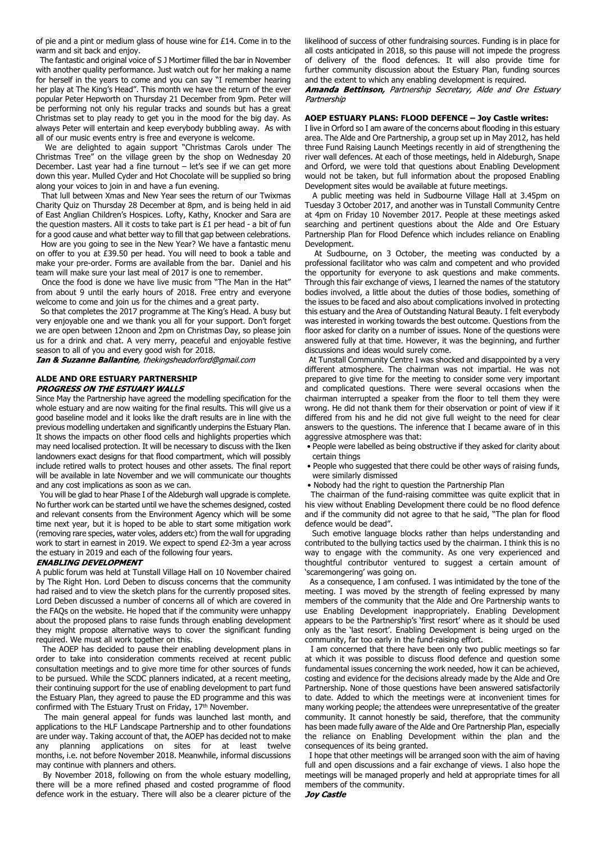of pie and a pint or medium glass of house wine for £14. Come in to the warm and sit back and enjoy.

 The fantastic and original voice of S J Mortimer filled the bar in November with another quality performance. Just watch out for her making a name for herself in the years to come and you can say "I remember hearing her play at The King's Head". This month we have the return of the ever popular Peter Hepworth on Thursday 21 December from 9pm. Peter will be performing not only his regular tracks and sounds but has a great Christmas set to play ready to get you in the mood for the big day. As always Peter will entertain and keep everybody bubbling away. As with all of our music events entry is free and everyone is welcome.

 We are delighted to again support "Christmas Carols under The Christmas Tree" on the village green by the shop on Wednesday 20 December. Last year had a fine turnout – let's see if we can get more down this year. Mulled Cyder and Hot Chocolate will be supplied so bring along your voices to join in and have a fun evening.

 That lull between Xmas and New Year sees the return of our Twixmas Charity Quiz on Thursday 28 December at 8pm, and is being held in aid of East Anglian Children's Hospices. Lofty, Kathy, Knocker and Sara are the question masters. All it costs to take part is £1 per head - a bit of fun for a good cause and what better way to fill that gap between celebrations.

 How are you going to see in the New Year? We have a fantastic menu on offer to you at £39.50 per head. You will need to book a table and make your pre-order. Forms are available from the bar. Daniel and his team will make sure your last meal of 2017 is one to remember.

 Once the food is done we have live music from "The Man in the Hat" from about 9 until the early hours of 2018. Free entry and everyone welcome to come and join us for the chimes and a great party.

 So that completes the 2017 programme at The King's Head. A busy but very enjoyable one and we thank you all for your support. Don't forget we are open between 12noon and 2pm on Christmas Day, so please join us for a drink and chat. A very merry, peaceful and enjoyable festive season to all of you and every good wish for 2018.

**Ian & Suzanne Ballantine**, thekingsheadorford@gmail.com

#### **ALDE AND ORE ESTUARY PARTNERSHIP PROGRESS ON THE ESTUARY WALLS**

Since May the Partnership have agreed the modelling specification for the whole estuary and are now waiting for the final results. This will give us a good baseline model and it looks like the draft results are in line with the previous modelling undertaken and significantly underpins the Estuary Plan. It shows the impacts on other flood cells and highlights properties which may need localised protection. It will be necessary to discuss with the Iken landowners exact designs for that flood compartment, which will possibly include retired walls to protect houses and other assets. The final report will be available in late November and we will communicate our thoughts and any cost implications as soon as we can.

 You will be glad to hear Phase I of the Aldeburgh wall upgrade is complete. No further work can be started until we have the schemes designed, costed and relevant consents from the Environment Agency which will be some time next year, but it is hoped to be able to start some mitigation work (removing rare species, water voles, adders etc) from the wall for upgrading work to start in earnest in 2019. We expect to spend £2-3m a year across the estuary in 2019 and each of the following four years.

#### **ENABLING DEVELOPMENT**

A public forum was held at Tunstall Village Hall on 10 November chaired by The Right Hon. Lord Deben to discuss concerns that the community had raised and to view the sketch plans for the currently proposed sites. Lord Deben discussed a number of concerns all of which are covered in the FAQs on the website. He hoped that if the community were unhappy about the proposed plans to raise funds through enabling development they might propose alternative ways to cover the significant funding required. We must all work together on this.

 The AOEP has decided to pause their enabling development plans in order to take into consideration comments received at recent public consultation meetings and to give more time for other sources of funds to be pursued. While the SCDC planners indicated, at a recent meeting, their continuing support for the use of enabling development to part fund the Estuary Plan, they agreed to pause the ED programme and this was confirmed with The Estuary Trust on Friday, 17th November.

 The main general appeal for funds was launched last month, and applications to the HLF Landscape Partnership and to other foundations are under way. Taking account of that, the AOEP has decided not to make any planning applications on sites for at least twelve months, i.e. not before November 2018. Meanwhile, informal discussions may continue with planners and others.

 By November 2018, following on from the whole estuary modelling, there will be a more refined phased and costed programme of flood defence work in the estuary. There will also be a clearer picture of the likelihood of success of other fundraising sources. Funding is in place for all costs anticipated in 2018, so this pause will not impede the progress of delivery of the flood defences. It will also provide time for further community discussion about the Estuary Plan, funding sources and the extent to which any enabling development is required.

Amanda Bettinson, Partnership Secretary, Alde and Ore Estuary Partnershin

### **AOEP ESTUARY PLANS: FLOOD DEFENCE – Joy Castle writes:**

I live in Orford so I am aware of the concerns about flooding in this estuary area. The Alde and Ore Partnership, a group set up in May 2012, has held three Fund Raising Launch Meetings recently in aid of strengthening the river wall defences. At each of those meetings, held in Aldeburgh, Snape and Orford, we were told that questions about Enabling Development would not be taken, but full information about the proposed Enabling Development sites would be available at future meetings.

 A public meeting was held in Sudbourne Village Hall at 3.45pm on Tuesday 3 October 2017, and another was in Tunstall Community Centre at 4pm on Friday 10 November 2017. People at these meetings asked searching and pertinent questions about the Alde and Ore Estuary Partnership Plan for Flood Defence which includes reliance on Enabling Development.

 At Sudbourne, on 3 October, the meeting was conducted by a professional facilitator who was calm and competent and who provided the opportunity for everyone to ask questions and make comments. Through this fair exchange of views, I learned the names of the statutory bodies involved, a little about the duties of those bodies, something of the issues to be faced and also about complications involved in protecting this estuary and the Area of Outstanding Natural Beauty. I felt everybody was interested in working towards the best outcome. Questions from the floor asked for clarity on a number of issues. None of the questions were answered fully at that time. However, it was the beginning, and further discussions and ideas would surely come.

 At Tunstall Community Centre I was shocked and disappointed by a very different atmosphere. The chairman was not impartial. He was not prepared to give time for the meeting to consider some very important and complicated questions. There were several occasions when the chairman interrupted a speaker from the floor to tell them they were wrong. He did not thank them for their observation or point of view if it differed from his and he did not give full weight to the need for clear answers to the questions. The inference that I became aware of in this aggressive atmosphere was that:

- People were labelled as being obstructive if they asked for clarity about certain things
- People who suggested that there could be other ways of raising funds, were similarly dismissed
- Nobody had the right to question the Partnership Plan

 The chairman of the fund-raising committee was quite explicit that in his view without Enabling Development there could be no flood defence and if the community did not agree to that he said, "The plan for flood defence would be dead".

 Such emotive language blocks rather than helps understanding and contributed to the bullying tactics used by the chairman. I think this is no way to engage with the community. As one very experienced and thoughtful contributor ventured to suggest a certain amount of 'scaremongering' was going on.

 As a consequence, I am confused. I was intimidated by the tone of the meeting. I was moved by the strength of feeling expressed by many members of the community that the Alde and Ore Partnership wants to use Enabling Development inappropriately. Enabling Development appears to be the Partnership's 'first resort' where as it should be used only as the 'last resort'. Enabling Development is being urged on the community, far too early in the fund-raising effort.

 I am concerned that there have been only two public meetings so far at which it was possible to discuss flood defence and question some fundamental issues concerning the work needed, how it can be achieved, costing and evidence for the decisions already made by the Alde and Ore Partnership. None of those questions have been answered satisfactorily to date. Added to which the meetings were at inconvenient times for many working people; the attendees were unrepresentative of the greater community. It cannot honestly be said, therefore, that the community has been made fully aware of the Alde and Ore Partnership Plan, especially the reliance on Enabling Development within the plan and the consequences of its being granted.

 I hope that other meetings will be arranged soon with the aim of having full and open discussions and a fair exchange of views. I also hope the meetings will be managed properly and held at appropriate times for all members of the community.**Joy Castle**